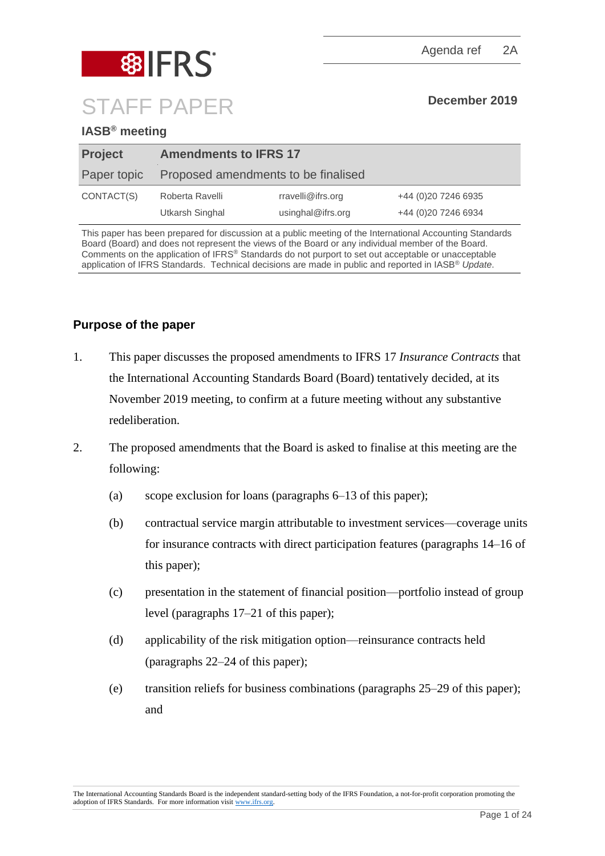

# **88 FRS** STAFF PAPER **December 2019**

# **IASB® meeting**

| <b>Project</b> | <b>Amendments to IFRS 17</b>        |                   |                      |
|----------------|-------------------------------------|-------------------|----------------------|
| Paper topic    | Proposed amendments to be finalised |                   |                      |
| CONTACT(S)     | Roberta Ravelli                     | rravelli@ifrs.org | +44 (0) 20 7246 6935 |
|                | Utkarsh Singhal                     | usinghal@ifrs.org | +44 (0) 20 7246 6934 |

This paper has been prepared for discussion at a public meeting of the International Accounting Standards Board (Board) and does not represent the views of the Board or any individual member of the Board. Comments on the application of IFRS® Standards do not purport to set out acceptable or unacceptable application of IFRS Standards. Technical decisions are made in public and reported in IASB® *Update*.

# **Purpose of the paper**

- 1. This paper discusses the proposed amendments to IFRS 17 *Insurance Contracts* that the International Accounting Standards Board (Board) tentatively decided, at its November 2019 meeting, to confirm at a future meeting without any substantive redeliberation.
- <span id="page-0-0"></span>2. The proposed amendments that the Board is asked to finalise at this meeting are the following:
	- (a) scope exclusion for loans (paragraphs [6](#page-1-0)[–13](#page-5-0) of this paper);
	- (b) contractual service margin attributable to investment services—coverage units for insurance contracts with direct participation features (paragraphs [14](#page-6-0)[–16](#page-6-1) of this paper);
	- (c) presentation in the statement of financial position—portfolio instead of group level (paragraphs [17–](#page-6-2)[21](#page-7-0) of this paper);
	- (d) applicability of the risk mitigation option—reinsurance contracts held (paragraphs [22–](#page-8-0)[24](#page-9-0) of this paper);
	- (e) transition reliefs for business combinations (paragraphs [25](#page-9-1)[–29](#page-10-0) of this paper); and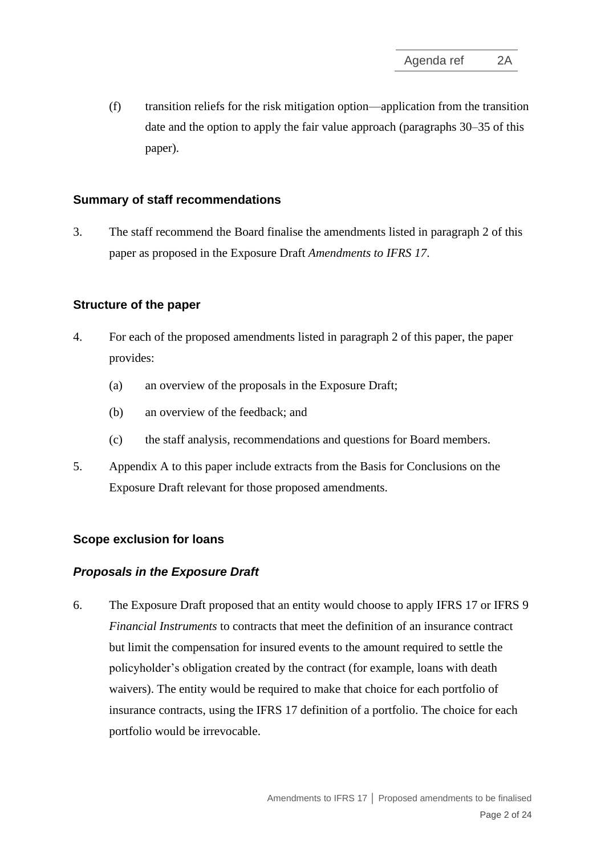(f) transition reliefs for the risk mitigation option—application from the transition date and the option to apply the fair value approach (paragraphs [30–](#page-11-0)[35](#page-12-0) of this paper).

# **Summary of staff recommendations**

3. The staff recommend the Board finalise the amendments listed in paragraph [2](#page-0-0) of this paper as proposed in the Exposure Draft *Amendments to IFRS 17*.

# **Structure of the paper**

- 4. For each of the proposed amendments listed in paragraph [2](#page-0-0) of this paper, the paper provides:
	- (a) an overview of the proposals in the Exposure Draft;
	- (b) an overview of the feedback; and
	- (c) the staff analysis, recommendations and questions for Board members.
- 5. Appendix A to this paper include extracts from the Basis for Conclusions on the Exposure Draft relevant for those proposed amendments.

# **Scope exclusion for loans**

#### *Proposals in the Exposure Draft*

<span id="page-1-0"></span>6. The Exposure Draft proposed that an entity would choose to apply IFRS 17 or IFRS 9 *Financial Instruments* to contracts that meet the definition of an insurance contract but limit the compensation for insured events to the amount required to settle the policyholder's obligation created by the contract (for example, loans with death waivers). The entity would be required to make that choice for each portfolio of insurance contracts, using the IFRS 17 definition of a portfolio. The choice for each portfolio would be irrevocable.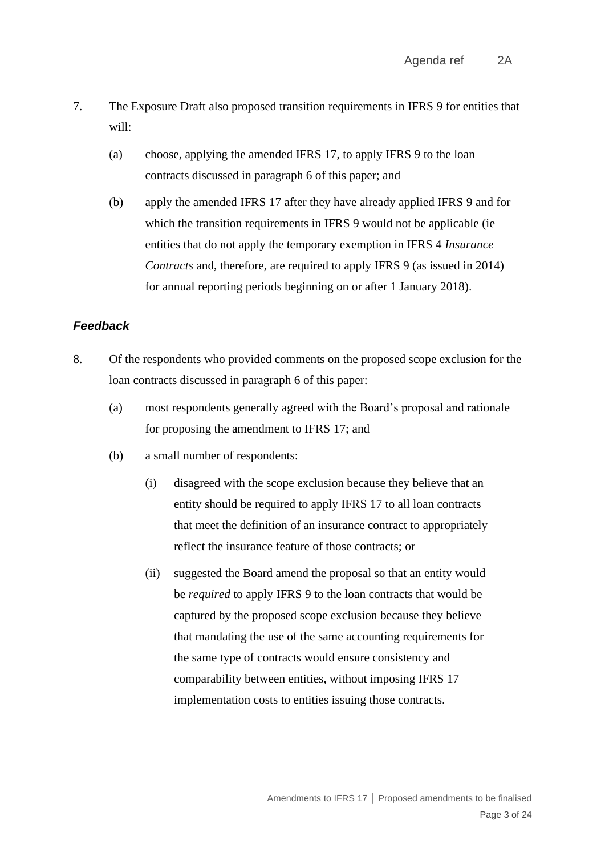- <span id="page-2-1"></span>7. The Exposure Draft also proposed transition requirements in IFRS 9 for entities that will:
	- (a) choose, applying the amended IFRS 17, to apply IFRS 9 to the loan contracts discussed in paragraph [6](#page-1-0) of this paper; and
	- (b) apply the amended IFRS 17 after they have already applied IFRS 9 and for which the transition requirements in IFRS 9 would not be applicable (ie entities that do not apply the temporary exemption in IFRS 4 *Insurance Contracts* and, therefore, are required to apply IFRS 9 (as issued in 2014) for annual reporting periods beginning on or after 1 January 2018).

# *Feedback*

- <span id="page-2-0"></span>8. Of the respondents who provided comments on the proposed scope exclusion for the loan contracts discussed in paragraph [6](#page-1-0) of this paper:
	- (a) most respondents generally agreed with the Board's proposal and rationale for proposing the amendment to IFRS 17; and
	- (b) a small number of respondents:
		- (i) disagreed with the scope exclusion because they believe that an entity should be required to apply IFRS 17 to all loan contracts that meet the definition of an insurance contract to appropriately reflect the insurance feature of those contracts; or
		- (ii) suggested the Board amend the proposal so that an entity would be *required* to apply IFRS 9 to the loan contracts that would be captured by the proposed scope exclusion because they believe that mandating the use of the same accounting requirements for the same type of contracts would ensure consistency and comparability between entities, without imposing IFRS 17 implementation costs to entities issuing those contracts.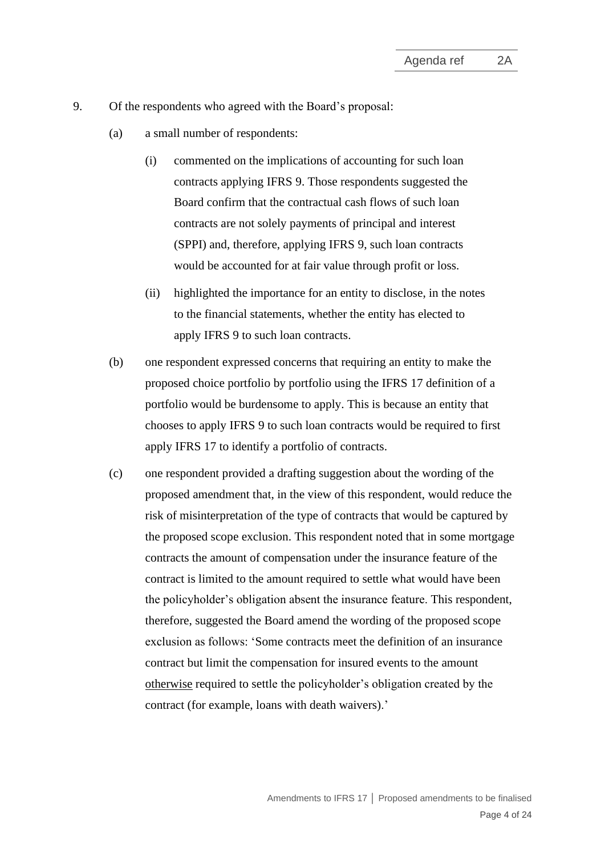- <span id="page-3-2"></span><span id="page-3-1"></span><span id="page-3-0"></span>9. Of the respondents who agreed with the Board's proposal:
	- (a) a small number of respondents:
		- (i) commented on the implications of accounting for such loan contracts applying IFRS 9. Those respondents suggested the Board confirm that the contractual cash flows of such loan contracts are not solely payments of principal and interest (SPPI) and, therefore, applying IFRS 9, such loan contracts would be accounted for at fair value through profit or loss.
		- (ii) highlighted the importance for an entity to disclose, in the notes to the financial statements, whether the entity has elected to apply IFRS 9 to such loan contracts.
	- (b) one respondent expressed concerns that requiring an entity to make the proposed choice portfolio by portfolio using the IFRS 17 definition of a portfolio would be burdensome to apply. This is because an entity that chooses to apply IFRS 9 to such loan contracts would be required to first apply IFRS 17 to identify a portfolio of contracts.
	- (c) one respondent provided a drafting suggestion about the wording of the proposed amendment that, in the view of this respondent, would reduce the risk of misinterpretation of the type of contracts that would be captured by the proposed scope exclusion. This respondent noted that in some mortgage contracts the amount of compensation under the insurance feature of the contract is limited to the amount required to settle what would have been the policyholder's obligation absent the insurance feature. This respondent, therefore, suggested the Board amend the wording of the proposed scope exclusion as follows: 'Some contracts meet the definition of an insurance contract but limit the compensation for insured events to the amount otherwise required to settle the policyholder's obligation created by the contract (for example, loans with death waivers).'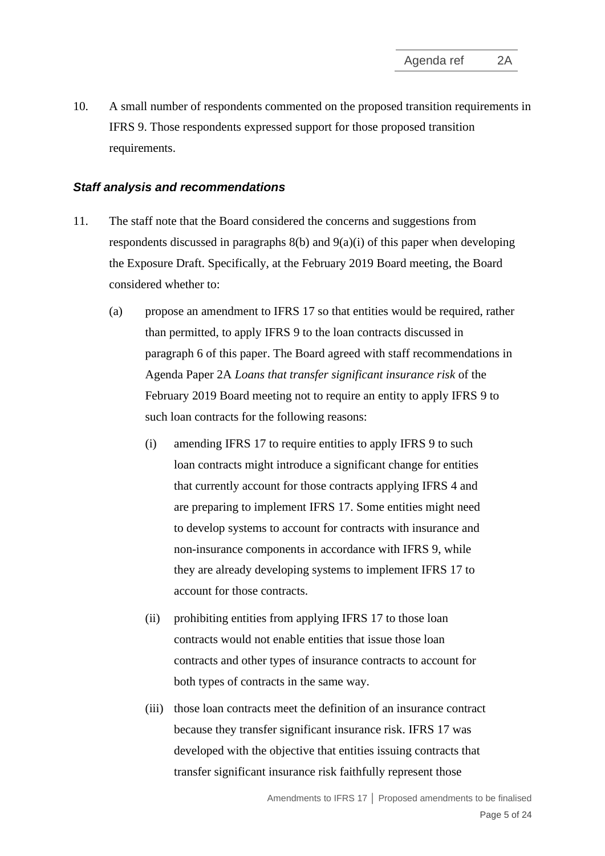10. A small number of respondents commented on the proposed transition requirements in IFRS 9. Those respondents expressed support for those proposed transition requirements.

# *Staff analysis and recommendations*

- 11. The staff note that the Board considered the concerns and suggestions from respondents discussed in paragraphs  $8(b)$  and  $9(a)(i)$  of this paper when developing the Exposure Draft. Specifically, at the February 2019 Board meeting, the Board considered whether to:
	- (a) propose an amendment to IFRS 17 so that entities would be required, rather than permitted, to apply IFRS 9 to the loan contracts discussed in paragraph [6](#page-1-0) of this paper. The Board agreed with staff recommendations in Agenda Paper 2A *Loans that transfer significant insurance risk* of the February 2019 Board meeting not to require an entity to apply IFRS 9 to such loan contracts for the following reasons:
		- (i) amending IFRS 17 to require entities to apply IFRS 9 to such loan contracts might introduce a significant change for entities that currently account for those contracts applying IFRS 4 and are preparing to implement IFRS 17. Some entities might need to develop systems to account for contracts with insurance and non-insurance components in accordance with IFRS 9, while they are already developing systems to implement IFRS 17 to account for those contracts.
		- (ii) prohibiting entities from applying IFRS 17 to those loan contracts would not enable entities that issue those loan contracts and other types of insurance contracts to account for both types of contracts in the same way.
		- (iii) those loan contracts meet the definition of an insurance contract because they transfer significant insurance risk. IFRS 17 was developed with the objective that entities issuing contracts that transfer significant insurance risk faithfully represent those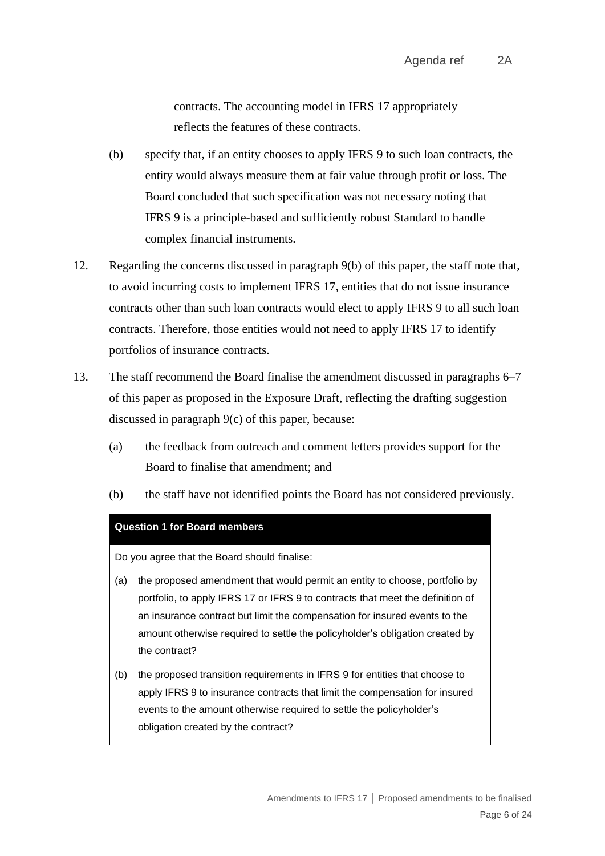contracts. The accounting model in IFRS 17 appropriately reflects the features of these contracts.

- (b) specify that, if an entity chooses to apply IFRS 9 to such loan contracts, the entity would always measure them at fair value through profit or loss. The Board concluded that such specification was not necessary noting that IFRS 9 is a principle-based and sufficiently robust Standard to handle complex financial instruments.
- 12. Regarding the concerns discussed in paragraph [9\(b\)](#page-3-1) of this paper, the staff note that, to avoid incurring costs to implement IFRS 17, entities that do not issue insurance contracts other than such loan contracts would elect to apply IFRS 9 to all such loan contracts. Therefore, those entities would not need to apply IFRS 17 to identify portfolios of insurance contracts.
- <span id="page-5-0"></span>13. The staff recommend the Board finalise the amendment discussed in paragraphs [6–](#page-1-0)[7](#page-2-1) of this paper as proposed in the Exposure Draft, reflecting the drafting suggestion discussed in paragraph [9\(c\)](#page-3-2) of this paper, because:
	- (a) the feedback from outreach and comment letters provides support for the Board to finalise that amendment; and
	- (b) the staff have not identified points the Board has not considered previously.

#### **Question 1 for Board members**

Do you agree that the Board should finalise:

- (a) the proposed amendment that would permit an entity to choose, portfolio by portfolio, to apply IFRS 17 or IFRS 9 to contracts that meet the definition of an insurance contract but limit the compensation for insured events to the amount otherwise required to settle the policyholder's obligation created by the contract?
- (b) the proposed transition requirements in IFRS 9 for entities that choose to apply IFRS 9 to insurance contracts that limit the compensation for insured events to the amount otherwise required to settle the policyholder's obligation created by the contract?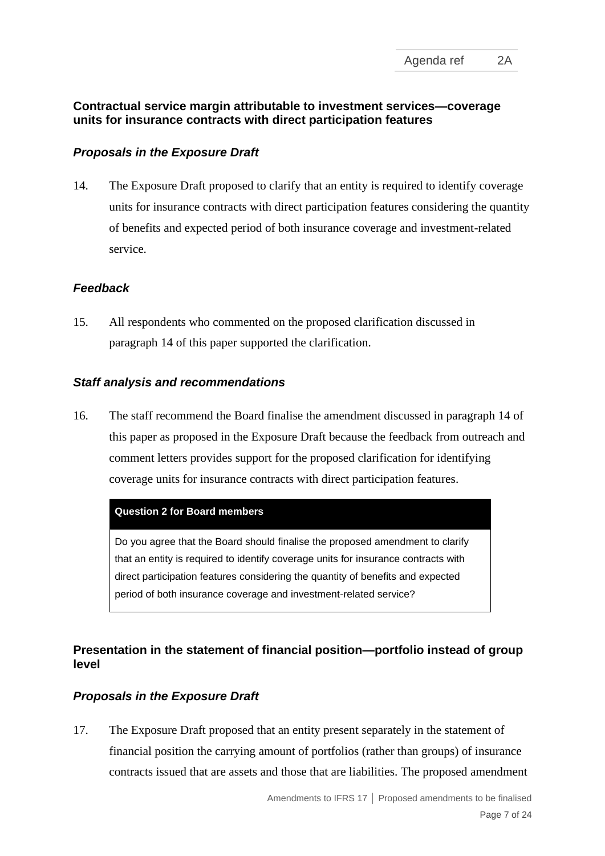# **Contractual service margin attributable to investment services—coverage units for insurance contracts with direct participation features**

# *Proposals in the Exposure Draft*

<span id="page-6-0"></span>14. The Exposure Draft proposed to clarify that an entity is required to identify coverage units for insurance contracts with direct participation features considering the quantity of benefits and expected period of both insurance coverage and investment-related service.

# *Feedback*

15. All respondents who commented on the proposed clarification discussed in paragraph [14](#page-6-0) of this paper supported the clarification.

# *Staff analysis and recommendations*

<span id="page-6-1"></span>16. The staff recommend the Board finalise the amendment discussed in paragraph [14](#page-6-0) of this paper as proposed in the Exposure Draft because the feedback from outreach and comment letters provides support for the proposed clarification for identifying coverage units for insurance contracts with direct participation features.

#### **Question 2 for Board members**

Do you agree that the Board should finalise the proposed amendment to clarify that an entity is required to identify coverage units for insurance contracts with direct participation features considering the quantity of benefits and expected period of both insurance coverage and investment-related service?

# **Presentation in the statement of financial position—portfolio instead of group level**

# *Proposals in the Exposure Draft*

<span id="page-6-2"></span>17. The Exposure Draft proposed that an entity present separately in the statement of financial position the carrying amount of portfolios (rather than groups) of insurance contracts issued that are assets and those that are liabilities. The proposed amendment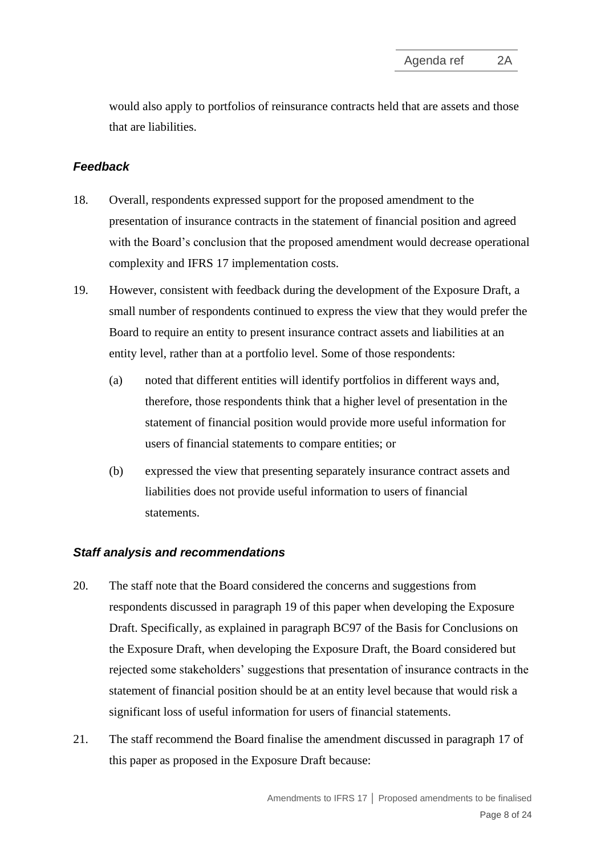would also apply to portfolios of reinsurance contracts held that are assets and those that are liabilities.

# *Feedback*

- 18. Overall, respondents expressed support for the proposed amendment to the presentation of insurance contracts in the statement of financial position and agreed with the Board's conclusion that the proposed amendment would decrease operational complexity and IFRS 17 implementation costs.
- <span id="page-7-1"></span>19. However, consistent with feedback during the development of the Exposure Draft, a small number of respondents continued to express the view that they would prefer the Board to require an entity to present insurance contract assets and liabilities at an entity level, rather than at a portfolio level. Some of those respondents:
	- (a) noted that different entities will identify portfolios in different ways and, therefore, those respondents think that a higher level of presentation in the statement of financial position would provide more useful information for users of financial statements to compare entities; or
	- (b) expressed the view that presenting separately insurance contract assets and liabilities does not provide useful information to users of financial statements.

# *Staff analysis and recommendations*

- 20. The staff note that the Board considered the concerns and suggestions from respondents discussed in paragraph [19](#page-7-1) of this paper when developing the Exposure Draft. Specifically, as explained in paragraph BC97 of the Basis for Conclusions on the Exposure Draft, when developing the Exposure Draft, the Board considered but rejected some stakeholders' suggestions that presentation of insurance contracts in the statement of financial position should be at an entity level because that would risk a significant loss of useful information for users of financial statements.
- <span id="page-7-0"></span>21. The staff recommend the Board finalise the amendment discussed in paragraph [17](#page-6-2) of this paper as proposed in the Exposure Draft because: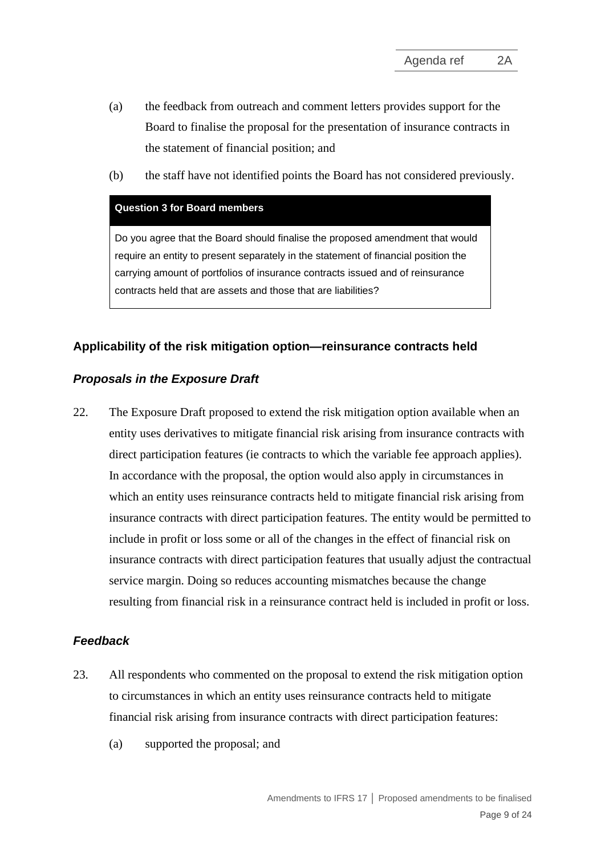- (a) the feedback from outreach and comment letters provides support for the Board to finalise the proposal for the presentation of insurance contracts in the statement of financial position; and
- (b) the staff have not identified points the Board has not considered previously.

#### **Question 3 for Board members**

Do you agree that the Board should finalise the proposed amendment that would require an entity to present separately in the statement of financial position the carrying amount of portfolios of insurance contracts issued and of reinsurance contracts held that are assets and those that are liabilities?

#### **Applicability of the risk mitigation option—reinsurance contracts held**

#### *Proposals in the Exposure Draft*

<span id="page-8-0"></span>22. The Exposure Draft proposed to extend the risk mitigation option available when an entity uses derivatives to mitigate financial risk arising from insurance contracts with direct participation features (ie contracts to which the variable fee approach applies). In accordance with the proposal, the option would also apply in circumstances in which an entity uses reinsurance contracts held to mitigate financial risk arising from insurance contracts with direct participation features. The entity would be permitted to include in profit or loss some or all of the changes in the effect of financial risk on insurance contracts with direct participation features that usually adjust the contractual service margin. Doing so reduces accounting mismatches because the change resulting from financial risk in a reinsurance contract held is included in profit or loss.

# *Feedback*

- 23. All respondents who commented on the proposal to extend the risk mitigation option to circumstances in which an entity uses reinsurance contracts held to mitigate financial risk arising from insurance contracts with direct participation features:
	- (a) supported the proposal; and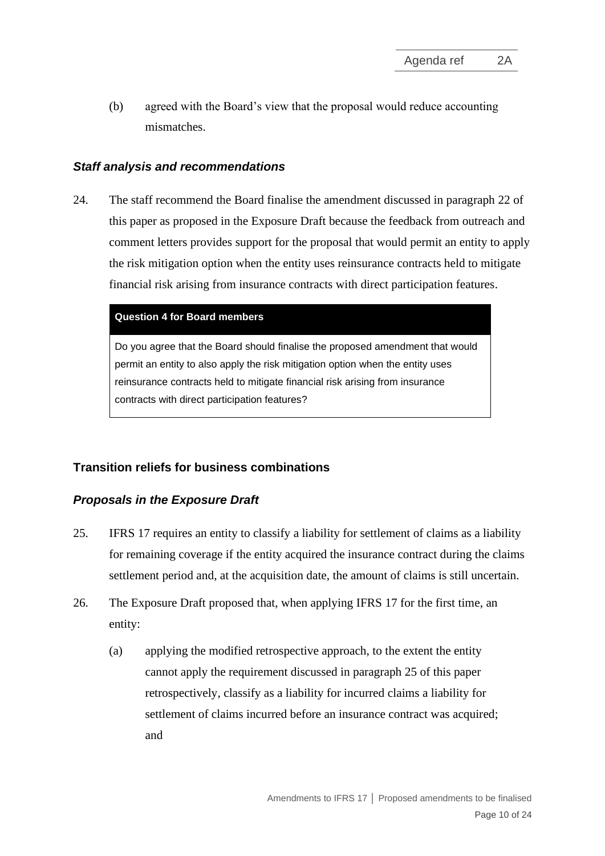(b) agreed with the Board's view that the proposal would reduce accounting mismatches.

#### *Staff analysis and recommendations*

<span id="page-9-0"></span>24. The staff recommend the Board finalise the amendment discussed in paragraph [22](#page-8-0) of this paper as proposed in the Exposure Draft because the feedback from outreach and comment letters provides support for the proposal that would permit an entity to apply the risk mitigation option when the entity uses reinsurance contracts held to mitigate financial risk arising from insurance contracts with direct participation features.

#### **Question 4 for Board members**

Do you agree that the Board should finalise the proposed amendment that would permit an entity to also apply the risk mitigation option when the entity uses reinsurance contracts held to mitigate financial risk arising from insurance contracts with direct participation features?

# **Transition reliefs for business combinations**

#### *Proposals in the Exposure Draft*

- <span id="page-9-1"></span>25. IFRS 17 requires an entity to classify a liability for settlement of claims as a liability for remaining coverage if the entity acquired the insurance contract during the claims settlement period and, at the acquisition date, the amount of claims is still uncertain.
- <span id="page-9-2"></span>26. The Exposure Draft proposed that, when applying IFRS 17 for the first time, an entity:
	- (a) applying the modified retrospective approach, to the extent the entity cannot apply the requirement discussed in paragraph [25](#page-9-1) of this paper retrospectively, classify as a liability for incurred claims a liability for settlement of claims incurred before an insurance contract was acquired; and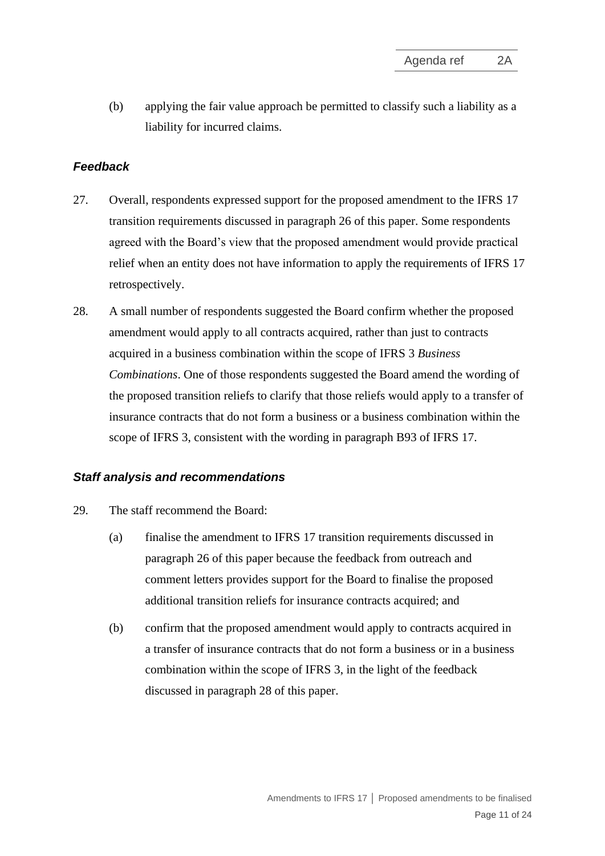(b) applying the fair value approach be permitted to classify such a liability as a liability for incurred claims.

# *Feedback*

- 27. Overall, respondents expressed support for the proposed amendment to the IFRS 17 transition requirements discussed in paragraph [26](#page-9-2) of this paper. Some respondents agreed with the Board's view that the proposed amendment would provide practical relief when an entity does not have information to apply the requirements of IFRS 17 retrospectively.
- <span id="page-10-1"></span>28. A small number of respondents suggested the Board confirm whether the proposed amendment would apply to all contracts acquired, rather than just to contracts acquired in a business combination within the scope of IFRS 3 *Business Combinations*. One of those respondents suggested the Board amend the wording of the proposed transition reliefs to clarify that those reliefs would apply to a transfer of insurance contracts that do not form a business or a business combination within the scope of IFRS 3, consistent with the wording in paragraph B93 of IFRS 17.

#### *Staff analysis and recommendations*

- <span id="page-10-0"></span>29. The staff recommend the Board:
	- (a) finalise the amendment to IFRS 17 transition requirements discussed in paragraph [26](#page-9-2) of this paper because the feedback from outreach and comment letters provides support for the Board to finalise the proposed additional transition reliefs for insurance contracts acquired; and
	- (b) confirm that the proposed amendment would apply to contracts acquired in a transfer of insurance contracts that do not form a business or in a business combination within the scope of IFRS 3, in the light of the feedback discussed in paragraph [28](#page-10-1) of this paper.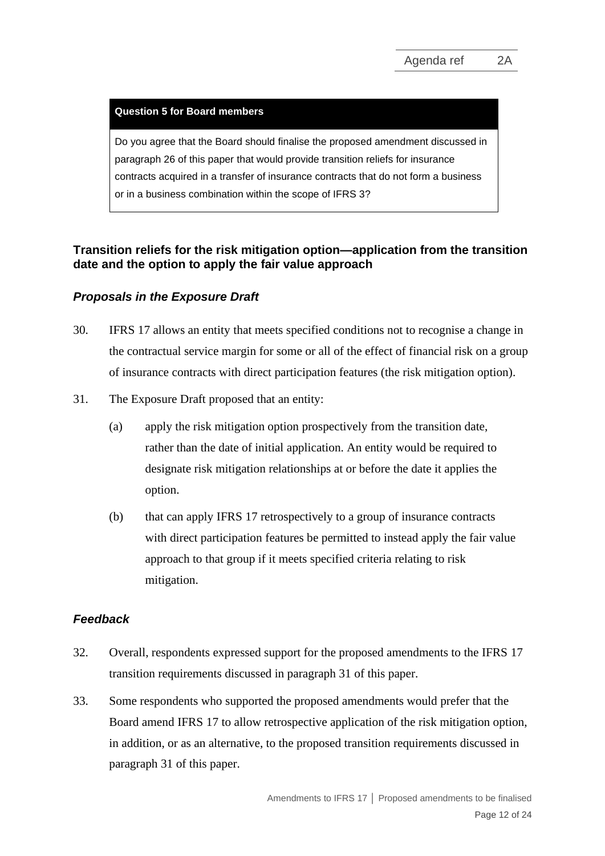#### **Question 5 for Board members**

Do you agree that the Board should finalise the proposed amendment discussed in paragraph [26](#page-9-2) of this paper that would provide transition reliefs for insurance contracts acquired in a transfer of insurance contracts that do not form a business or in a business combination within the scope of IFRS 3?

# **Transition reliefs for the risk mitigation option—application from the transition date and the option to apply the fair value approach**

# *Proposals in the Exposure Draft*

- <span id="page-11-0"></span>30. IFRS 17 allows an entity that meets specified conditions not to recognise a change in the contractual service margin for some or all of the effect of financial risk on a group of insurance contracts with direct participation features (the risk mitigation option).
- <span id="page-11-1"></span>31. The Exposure Draft proposed that an entity:
	- (a) apply the risk mitigation option prospectively from the transition date, rather than the date of initial application. An entity would be required to designate risk mitigation relationships at or before the date it applies the option.
	- (b) that can apply IFRS 17 retrospectively to a group of insurance contracts with direct participation features be permitted to instead apply the fair value approach to that group if it meets specified criteria relating to risk mitigation.

# *Feedback*

- 32. Overall, respondents expressed support for the proposed amendments to the IFRS 17 transition requirements discussed in paragraph [31](#page-11-1) of this paper.
- 33. Some respondents who supported the proposed amendments would prefer that the Board amend IFRS 17 to allow retrospective application of the risk mitigation option, in addition, or as an alternative, to the proposed transition requirements discussed in paragraph [31](#page-11-1) of this paper.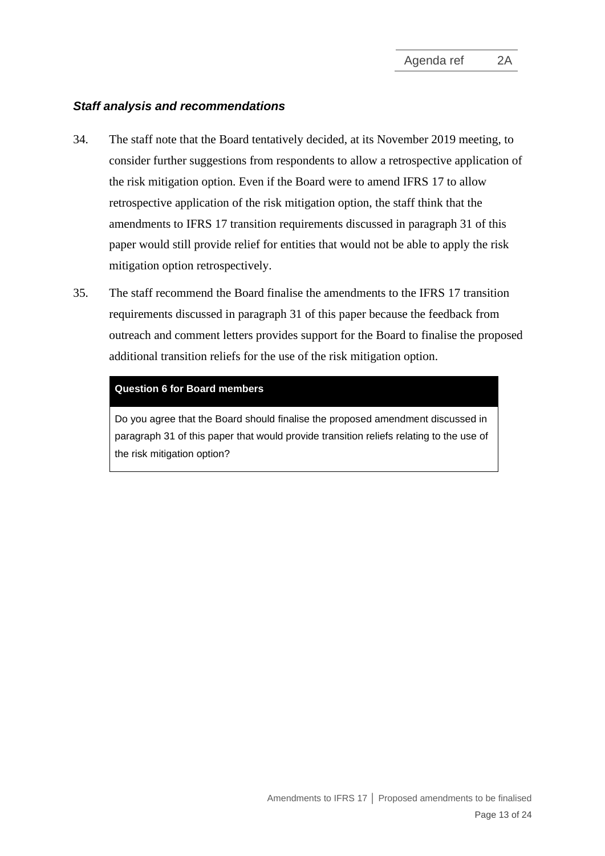# *Staff analysis and recommendations*

- 34. The staff note that the Board tentatively decided, at its November 2019 meeting, to consider further suggestions from respondents to allow a retrospective application of the risk mitigation option. Even if the Board were to amend IFRS 17 to allow retrospective application of the risk mitigation option, the staff think that the amendments to IFRS 17 transition requirements discussed in paragraph [31](#page-11-1) of this paper would still provide relief for entities that would not be able to apply the risk mitigation option retrospectively.
- <span id="page-12-0"></span>35. The staff recommend the Board finalise the amendments to the IFRS 17 transition requirements discussed in paragraph [31](#page-11-1) of this paper because the feedback from outreach and comment letters provides support for the Board to finalise the proposed additional transition reliefs for the use of the risk mitigation option.

#### **Question 6 for Board members**

Do you agree that the Board should finalise the proposed amendment discussed in paragraph [31](#page-11-1) of this paper that would provide transition reliefs relating to the use of the risk mitigation option?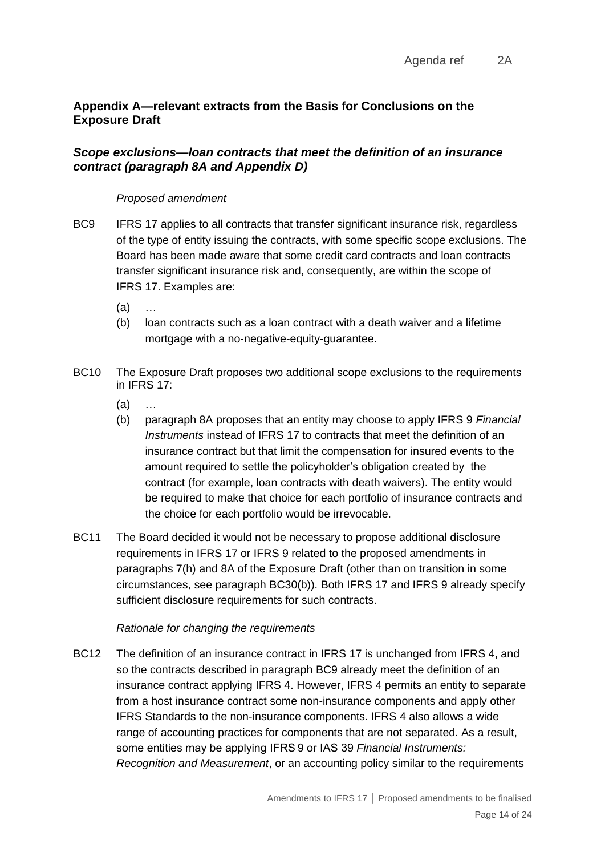# **Appendix A—relevant extracts from the Basis for Conclusions on the Exposure Draft**

# *Scope exclusions—loan contracts that meet the definition of an insurance contract (paragraph 8A and Appendix D)*

#### *Proposed amendment*

- BC9 IFRS 17 applies to all contracts that transfer significant insurance risk, regardless of the type of entity issuing the contracts, with some specific scope exclusions. The Board has been made aware that some credit card contracts and loan contracts transfer significant insurance risk and, consequently, are within the scope of IFRS 17. Examples are:
	- (a) …
	- (b) loan contracts such as a loan contract with a death waiver and a lifetime mortgage with a no-negative-equity-guarantee.
- BC10 The Exposure Draft proposes two additional scope exclusions to the requirements in IFRS 17:
	- (a) …
	- (b) paragraph 8A proposes that an entity may choose to apply IFRS 9 *Financial Instruments* instead of IFRS 17 to contracts that meet the definition of an insurance contract but that limit the compensation for insured events to the amount required to settle the policyholder's obligation created by the contract (for example, loan contracts with death waivers). The entity would be required to make that choice for each portfolio of insurance contracts and the choice for each portfolio would be irrevocable.
- BC11 The Board decided it would not be necessary to propose additional disclosure requirements in IFRS 17 or IFRS 9 related to the proposed amendments in paragraphs 7(h) and 8A of the Exposure Draft (other than on transition in some circumstances, see paragraph BC30(b)). Both IFRS 17 and IFRS 9 already specify sufficient disclosure requirements for such contracts.

# *Rationale for changing the requirements*

BC12 The definition of an insurance contract in IFRS 17 is unchanged from IFRS 4, and so the contracts described in paragraph BC9 already meet the definition of an insurance contract applying IFRS 4. However, IFRS 4 permits an entity to separate from a host insurance contract some non-insurance components and apply other IFRS Standards to the non-insurance components. IFRS 4 also allows a wide range of accounting practices for components that are not separated. As a result, some entities may be applying IFRS 9 or IAS 39 *Financial Instruments: Recognition and Measurement*, or an accounting policy similar to the requirements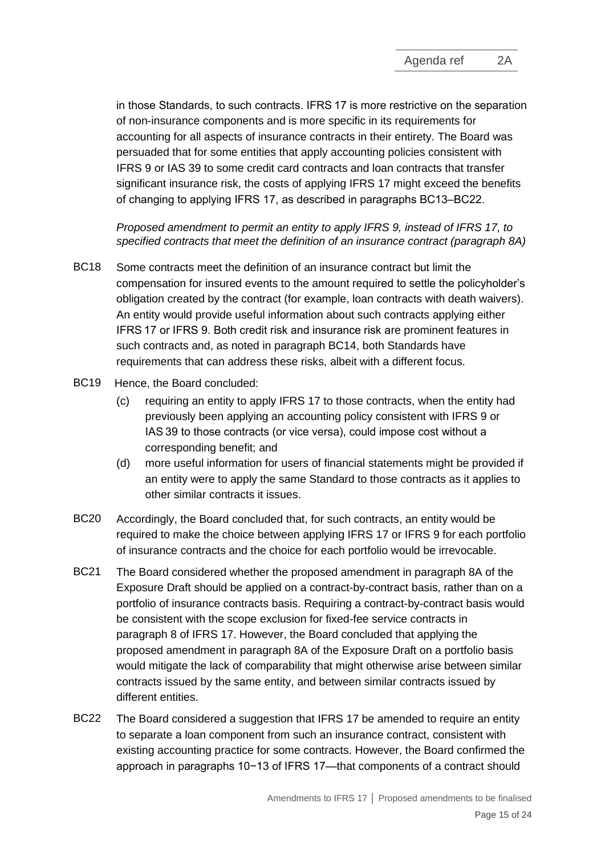in those Standards, to such contracts. IFRS 17 is more restrictive on the separation of non-insurance components and is more specific in its requirements for accounting for all aspects of insurance contracts in their entirety. The Board was persuaded that for some entities that apply accounting policies consistent with IFRS 9 or IAS 39 to some credit card contracts and loan contracts that transfer significant insurance risk, the costs of applying IFRS 17 might exceed the benefits of changing to applying IFRS 17, as described in paragraphs BC13–BC22.

*Proposed amendment to permit an entity to apply IFRS 9, instead of IFRS 17, to specified contracts that meet the definition of an insurance contract (paragraph 8A)*

- BC18 Some contracts meet the definition of an insurance contract but limit the compensation for insured events to the amount required to settle the policyholder's obligation created by the contract (for example, loan contracts with death waivers). An entity would provide useful information about such contracts applying either IFRS 17 or IFRS 9. Both credit risk and insurance risk are prominent features in such contracts and, as noted in paragraph BC14, both Standards have requirements that can address these risks, albeit with a different focus.
- BC19 Hence, the Board concluded:
	- (c) requiring an entity to apply IFRS 17 to those contracts, when the entity had previously been applying an accounting policy consistent with IFRS 9 or IAS 39 to those contracts (or vice versa), could impose cost without a corresponding benefit; and
	- (d) more useful information for users of financial statements might be provided if an entity were to apply the same Standard to those contracts as it applies to other similar contracts it issues.
- BC20 Accordingly, the Board concluded that, for such contracts, an entity would be required to make the choice between applying IFRS 17 or IFRS 9 for each portfolio of insurance contracts and the choice for each portfolio would be irrevocable.
- BC21 The Board considered whether the proposed amendment in paragraph 8A of the Exposure Draft should be applied on a contract-by-contract basis, rather than on a portfolio of insurance contracts basis. Requiring a contract-by-contract basis would be consistent with the scope exclusion for fixed-fee service contracts in paragraph 8 of IFRS 17. However, the Board concluded that applying the proposed amendment in paragraph 8A of the Exposure Draft on a portfolio basis would mitigate the lack of comparability that might otherwise arise between similar contracts issued by the same entity, and between similar contracts issued by different entities.
- BC22 The Board considered a suggestion that IFRS 17 be amended to require an entity to separate a loan component from such an insurance contract, consistent with existing accounting practice for some contracts. However, the Board confirmed the approach in paragraphs 10−13 of IFRS 17—that components of a contract should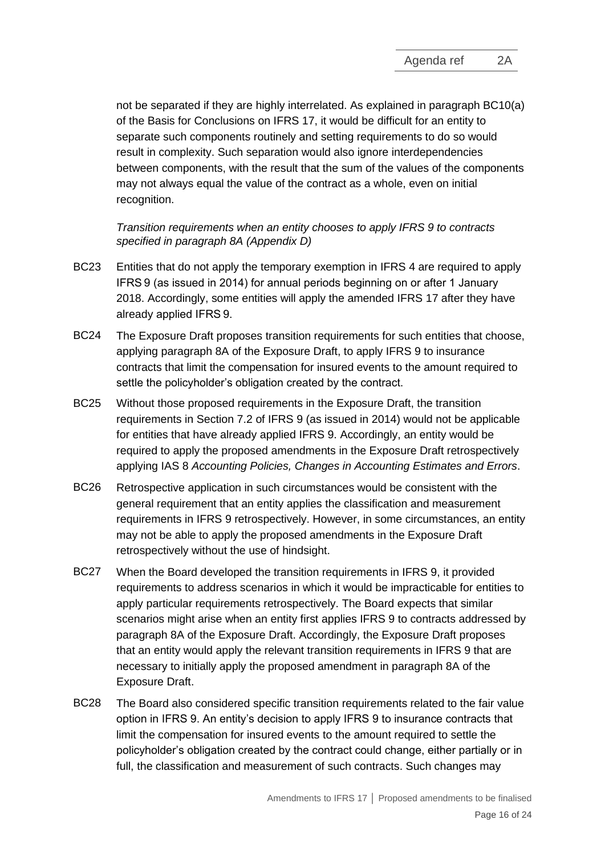not be separated if they are highly interrelated. As explained in paragraph BC10(a) of the Basis for Conclusions on IFRS 17, it would be difficult for an entity to separate such components routinely and setting requirements to do so would result in complexity. Such separation would also ignore interdependencies between components, with the result that the sum of the values of the components may not always equal the value of the contract as a whole, even on initial recognition.

*Transition requirements when an entity chooses to apply IFRS 9 to contracts specified in paragraph 8A (Appendix D)*

- BC23 Entities that do not apply the temporary exemption in IFRS 4 are required to apply IFRS 9 (as issued in 2014) for annual periods beginning on or after 1 January 2018. Accordingly, some entities will apply the amended IFRS 17 after they have already applied IFRS 9.
- BC24 The Exposure Draft proposes transition requirements for such entities that choose, applying paragraph 8A of the Exposure Draft, to apply IFRS 9 to insurance contracts that limit the compensation for insured events to the amount required to settle the policyholder's obligation created by the contract.
- BC25 Without those proposed requirements in the Exposure Draft, the transition requirements in Section 7.2 of IFRS 9 (as issued in 2014) would not be applicable for entities that have already applied IFRS 9. Accordingly, an entity would be required to apply the proposed amendments in the Exposure Draft retrospectively applying IAS 8 *Accounting Policies, Changes in Accounting Estimates and Errors*.
- BC26 Retrospective application in such circumstances would be consistent with the general requirement that an entity applies the classification and measurement requirements in IFRS 9 retrospectively. However, in some circumstances, an entity may not be able to apply the proposed amendments in the Exposure Draft retrospectively without the use of hindsight.
- BC27 When the Board developed the transition requirements in IFRS 9, it provided requirements to address scenarios in which it would be impracticable for entities to apply particular requirements retrospectively. The Board expects that similar scenarios might arise when an entity first applies IFRS 9 to contracts addressed by paragraph 8A of the Exposure Draft. Accordingly, the Exposure Draft proposes that an entity would apply the relevant transition requirements in IFRS 9 that are necessary to initially apply the proposed amendment in paragraph 8A of the Exposure Draft.
- BC28 The Board also considered specific transition requirements related to the fair value option in IFRS 9. An entity's decision to apply IFRS 9 to insurance contracts that limit the compensation for insured events to the amount required to settle the policyholder's obligation created by the contract could change, either partially or in full, the classification and measurement of such contracts. Such changes may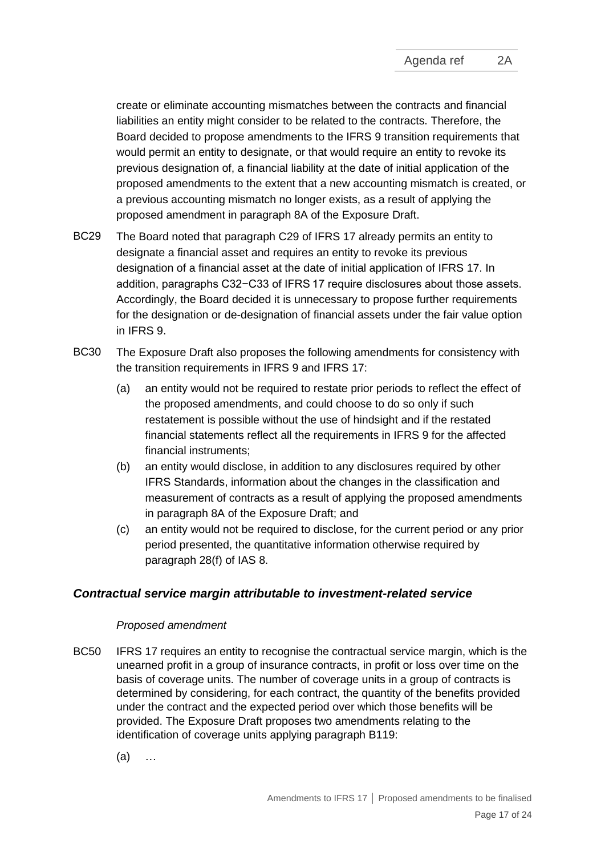create or eliminate accounting mismatches between the contracts and financial liabilities an entity might consider to be related to the contracts. Therefore, the Board decided to propose amendments to the IFRS 9 transition requirements that would permit an entity to designate, or that would require an entity to revoke its previous designation of, a financial liability at the date of initial application of the proposed amendments to the extent that a new accounting mismatch is created, or a previous accounting mismatch no longer exists, as a result of applying the proposed amendment in paragraph 8A of the Exposure Draft.

- BC29 The Board noted that paragraph C29 of IFRS 17 already permits an entity to designate a financial asset and requires an entity to revoke its previous designation of a financial asset at the date of initial application of IFRS 17. In addition, paragraphs C32−C33 of IFRS 17 require disclosures about those assets. Accordingly, the Board decided it is unnecessary to propose further requirements for the designation or de-designation of financial assets under the fair value option in IFRS 9.
- BC30 The Exposure Draft also proposes the following amendments for consistency with the transition requirements in IFRS 9 and IFRS 17:
	- (a) an entity would not be required to restate prior periods to reflect the effect of the proposed amendments, and could choose to do so only if such restatement is possible without the use of hindsight and if the restated financial statements reflect all the requirements in IFRS 9 for the affected financial instruments;
	- (b) an entity would disclose, in addition to any disclosures required by other IFRS Standards, information about the changes in the classification and measurement of contracts as a result of applying the proposed amendments in paragraph 8A of the Exposure Draft; and
	- (c) an entity would not be required to disclose, for the current period or any prior period presented, the quantitative information otherwise required by paragraph 28(f) of IAS 8.

# *Contractual service margin attributable to investment-related service*

#### *Proposed amendment*

- BC50 IFRS 17 requires an entity to recognise the contractual service margin, which is the unearned profit in a group of insurance contracts, in profit or loss over time on the basis of coverage units. The number of coverage units in a group of contracts is determined by considering, for each contract, the quantity of the benefits provided under the contract and the expected period over which those benefits will be provided. The Exposure Draft proposes two amendments relating to the identification of coverage units applying paragraph B119:
	- (a) …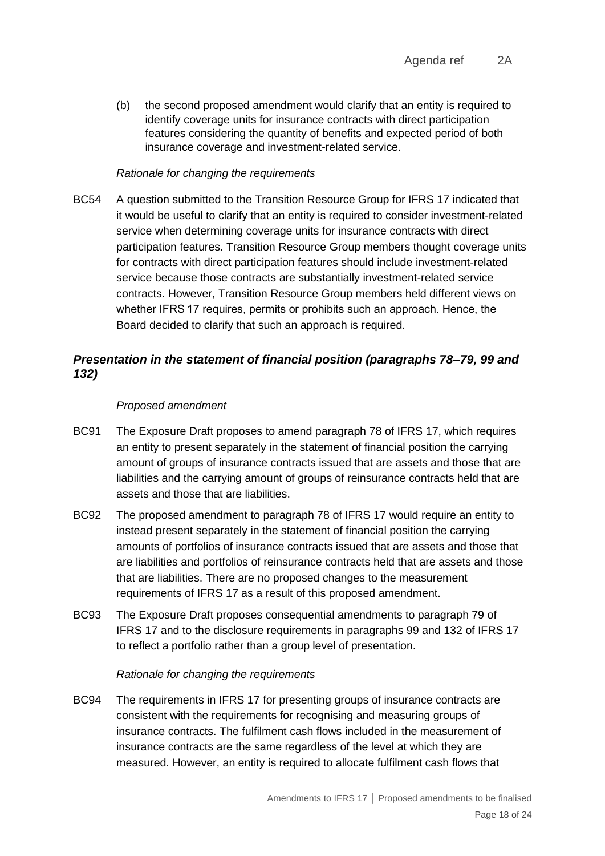(b) the second proposed amendment would clarify that an entity is required to identify coverage units for insurance contracts with direct participation features considering the quantity of benefits and expected period of both insurance coverage and investment-related service.

# *Rationale for changing the requirements*

BC54 A question submitted to the Transition Resource Group for IFRS 17 indicated that it would be useful to clarify that an entity is required to consider investment-related service when determining coverage units for insurance contracts with direct participation features. Transition Resource Group members thought coverage units for contracts with direct participation features should include investment-related service because those contracts are substantially investment-related service contracts. However, Transition Resource Group members held different views on whether IFRS 17 requires, permits or prohibits such an approach. Hence, the Board decided to clarify that such an approach is required.

# *Presentation in the statement of financial position (paragraphs 78–79, 99 and 132)*

# *Proposed amendment*

- BC91 The Exposure Draft proposes to amend paragraph 78 of IFRS 17, which requires an entity to present separately in the statement of financial position the carrying amount of groups of insurance contracts issued that are assets and those that are liabilities and the carrying amount of groups of reinsurance contracts held that are assets and those that are liabilities.
- BC92 The proposed amendment to paragraph 78 of IFRS 17 would require an entity to instead present separately in the statement of financial position the carrying amounts of portfolios of insurance contracts issued that are assets and those that are liabilities and portfolios of reinsurance contracts held that are assets and those that are liabilities. There are no proposed changes to the measurement requirements of IFRS 17 as a result of this proposed amendment.
- BC93 The Exposure Draft proposes consequential amendments to paragraph 79 of IFRS 17 and to the disclosure requirements in paragraphs 99 and 132 of IFRS 17 to reflect a portfolio rather than a group level of presentation.

#### *Rationale for changing the requirements*

BC94 The requirements in IFRS 17 for presenting groups of insurance contracts are consistent with the requirements for recognising and measuring groups of insurance contracts. The fulfilment cash flows included in the measurement of insurance contracts are the same regardless of the level at which they are measured. However, an entity is required to allocate fulfilment cash flows that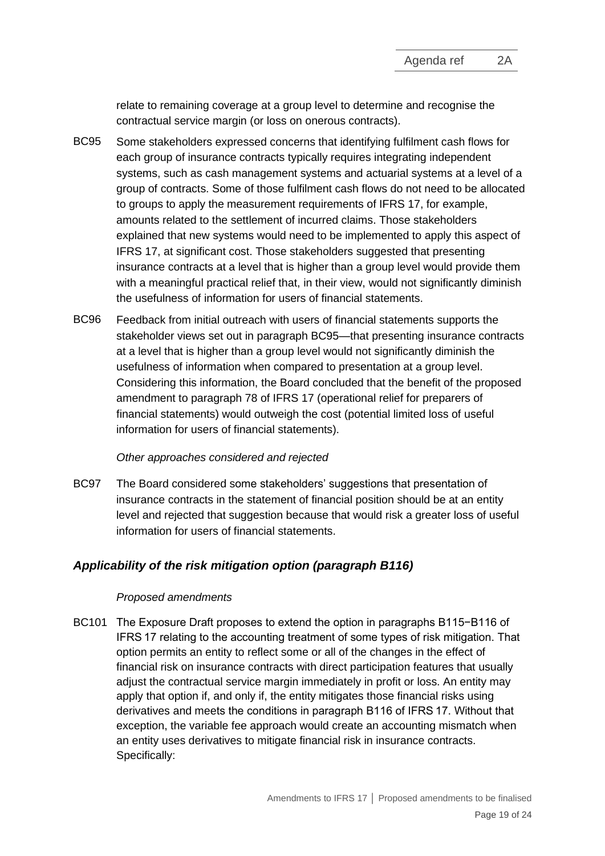relate to remaining coverage at a group level to determine and recognise the contractual service margin (or loss on onerous contracts).

- BC95 Some stakeholders expressed concerns that identifying fulfilment cash flows for each group of insurance contracts typically requires integrating independent systems, such as cash management systems and actuarial systems at a level of a group of contracts. Some of those fulfilment cash flows do not need to be allocated to groups to apply the measurement requirements of IFRS 17, for example, amounts related to the settlement of incurred claims. Those stakeholders explained that new systems would need to be implemented to apply this aspect of IFRS 17, at significant cost. Those stakeholders suggested that presenting insurance contracts at a level that is higher than a group level would provide them with a meaningful practical relief that, in their view, would not significantly diminish the usefulness of information for users of financial statements.
- BC96 Feedback from initial outreach with users of financial statements supports the stakeholder views set out in paragraph BC95—that presenting insurance contracts at a level that is higher than a group level would not significantly diminish the usefulness of information when compared to presentation at a group level. Considering this information, the Board concluded that the benefit of the proposed amendment to paragraph 78 of IFRS 17 (operational relief for preparers of financial statements) would outweigh the cost (potential limited loss of useful information for users of financial statements).

#### *Other approaches considered and rejected*

BC97 The Board considered some stakeholders' suggestions that presentation of insurance contracts in the statement of financial position should be at an entity level and rejected that suggestion because that would risk a greater loss of useful information for users of financial statements.

# *Applicability of the risk mitigation option (paragraph B116)*

#### *Proposed amendments*

BC101 The Exposure Draft proposes to extend the option in paragraphs B115−B116 of IFRS 17 relating to the accounting treatment of some types of risk mitigation. That option permits an entity to reflect some or all of the changes in the effect of financial risk on insurance contracts with direct participation features that usually adjust the contractual service margin immediately in profit or loss. An entity may apply that option if, and only if, the entity mitigates those financial risks using derivatives and meets the conditions in paragraph B116 of IFRS 17. Without that exception, the variable fee approach would create an accounting mismatch when an entity uses derivatives to mitigate financial risk in insurance contracts. Specifically: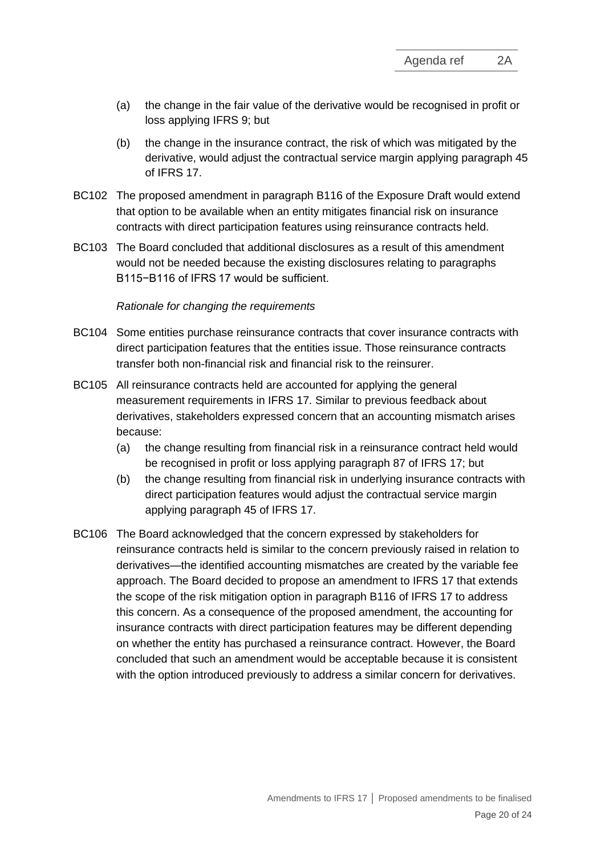- (a) the change in the fair value of the derivative would be recognised in profit or loss applying IFRS 9; but
- (b) the change in the insurance contract, the risk of which was mitigated by the derivative, would adjust the contractual service margin applying paragraph 45 of IFRS 17.
- BC102 The proposed amendment in paragraph B116 of the Exposure Draft would extend that option to be available when an entity mitigates financial risk on insurance contracts with direct participation features using reinsurance contracts held.
- BC103 The Board concluded that additional disclosures as a result of this amendment would not be needed because the existing disclosures relating to paragraphs B115−B116 of IFRS 17 would be sufficient.

#### *Rationale for changing the requirements*

- BC104 Some entities purchase reinsurance contracts that cover insurance contracts with direct participation features that the entities issue. Those reinsurance contracts transfer both non-financial risk and financial risk to the reinsurer.
- BC105 All reinsurance contracts held are accounted for applying the general measurement requirements in IFRS 17. Similar to previous feedback about derivatives, stakeholders expressed concern that an accounting mismatch arises because:
	- (a) the change resulting from financial risk in a reinsurance contract held would be recognised in profit or loss applying paragraph 87 of IFRS 17; but
	- (b) the change resulting from financial risk in underlying insurance contracts with direct participation features would adjust the contractual service margin applying paragraph 45 of IFRS 17.
- BC106 The Board acknowledged that the concern expressed by stakeholders for reinsurance contracts held is similar to the concern previously raised in relation to derivatives—the identified accounting mismatches are created by the variable fee approach. The Board decided to propose an amendment to IFRS 17 that extends the scope of the risk mitigation option in paragraph B116 of IFRS 17 to address this concern. As a consequence of the proposed amendment, the accounting for insurance contracts with direct participation features may be different depending on whether the entity has purchased a reinsurance contract. However, the Board concluded that such an amendment would be acceptable because it is consistent with the option introduced previously to address a similar concern for derivatives.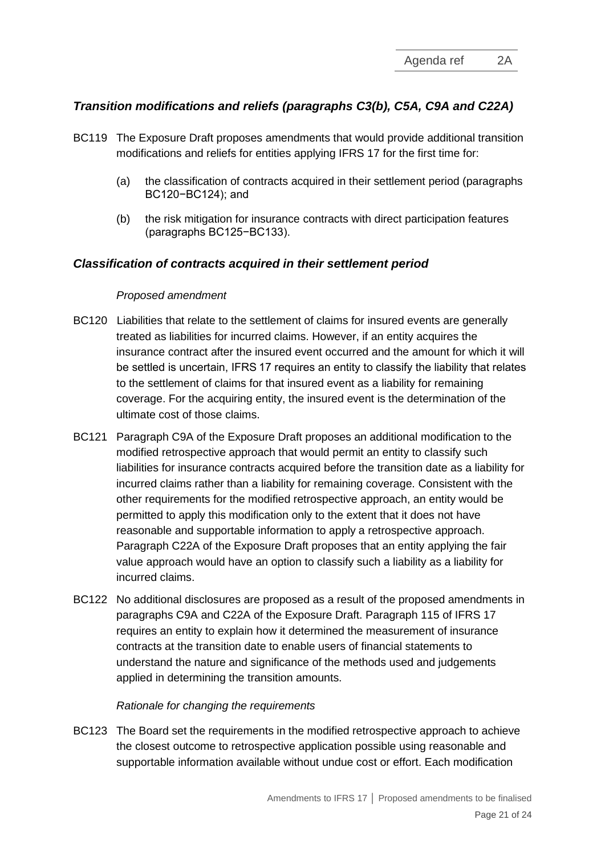# *Transition modifications and reliefs (paragraphs C3(b), C5A, C9A and C22A)*

- BC119 The Exposure Draft proposes amendments that would provide additional transition modifications and reliefs for entities applying IFRS 17 for the first time for:
	- (a) the classification of contracts acquired in their settlement period (paragraphs BC120−BC124); and
	- (b) the risk mitigation for insurance contracts with direct participation features (paragraphs BC125−BC133).

#### *Classification of contracts acquired in their settlement period*

#### *Proposed amendment*

- BC120 Liabilities that relate to the settlement of claims for insured events are generally treated as liabilities for incurred claims. However, if an entity acquires the insurance contract after the insured event occurred and the amount for which it will be settled is uncertain, IFRS 17 requires an entity to classify the liability that relates to the settlement of claims for that insured event as a liability for remaining coverage. For the acquiring entity, the insured event is the determination of the ultimate cost of those claims.
- BC121 Paragraph C9A of the Exposure Draft proposes an additional modification to the modified retrospective approach that would permit an entity to classify such liabilities for insurance contracts acquired before the transition date as a liability for incurred claims rather than a liability for remaining coverage. Consistent with the other requirements for the modified retrospective approach, an entity would be permitted to apply this modification only to the extent that it does not have reasonable and supportable information to apply a retrospective approach. Paragraph C22A of the Exposure Draft proposes that an entity applying the fair value approach would have an option to classify such a liability as a liability for incurred claims.
- BC122 No additional disclosures are proposed as a result of the proposed amendments in paragraphs C9A and C22A of the Exposure Draft. Paragraph 115 of IFRS 17 requires an entity to explain how it determined the measurement of insurance contracts at the transition date to enable users of financial statements to understand the nature and significance of the methods used and judgements applied in determining the transition amounts.

#### *Rationale for changing the requirements*

BC123 The Board set the requirements in the modified retrospective approach to achieve the closest outcome to retrospective application possible using reasonable and supportable information available without undue cost or effort. Each modification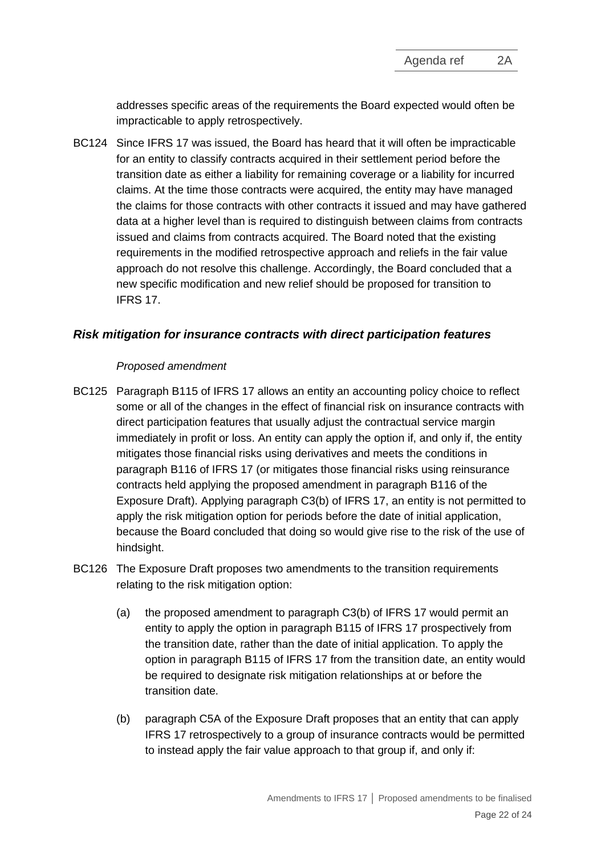addresses specific areas of the requirements the Board expected would often be impracticable to apply retrospectively.

BC124 Since IFRS 17 was issued, the Board has heard that it will often be impracticable for an entity to classify contracts acquired in their settlement period before the transition date as either a liability for remaining coverage or a liability for incurred claims. At the time those contracts were acquired, the entity may have managed the claims for those contracts with other contracts it issued and may have gathered data at a higher level than is required to distinguish between claims from contracts issued and claims from contracts acquired. The Board noted that the existing requirements in the modified retrospective approach and reliefs in the fair value approach do not resolve this challenge. Accordingly, the Board concluded that a new specific modification and new relief should be proposed for transition to IFRS 17.

# *Risk mitigation for insurance contracts with direct participation features*

#### *Proposed amendment*

- BC125 Paragraph B115 of IFRS 17 allows an entity an accounting policy choice to reflect some or all of the changes in the effect of financial risk on insurance contracts with direct participation features that usually adjust the contractual service margin immediately in profit or loss. An entity can apply the option if, and only if, the entity mitigates those financial risks using derivatives and meets the conditions in paragraph B116 of IFRS 17 (or mitigates those financial risks using reinsurance contracts held applying the proposed amendment in paragraph B116 of the Exposure Draft). Applying paragraph C3(b) of IFRS 17, an entity is not permitted to apply the risk mitigation option for periods before the date of initial application, because the Board concluded that doing so would give rise to the risk of the use of hindsight.
- BC126 The Exposure Draft proposes two amendments to the transition requirements relating to the risk mitigation option:
	- (a) the proposed amendment to paragraph C3(b) of IFRS 17 would permit an entity to apply the option in paragraph B115 of IFRS 17 prospectively from the transition date, rather than the date of initial application. To apply the option in paragraph B115 of IFRS 17 from the transition date, an entity would be required to designate risk mitigation relationships at or before the transition date.
	- (b) paragraph C5A of the Exposure Draft proposes that an entity that can apply IFRS 17 retrospectively to a group of insurance contracts would be permitted to instead apply the fair value approach to that group if, and only if: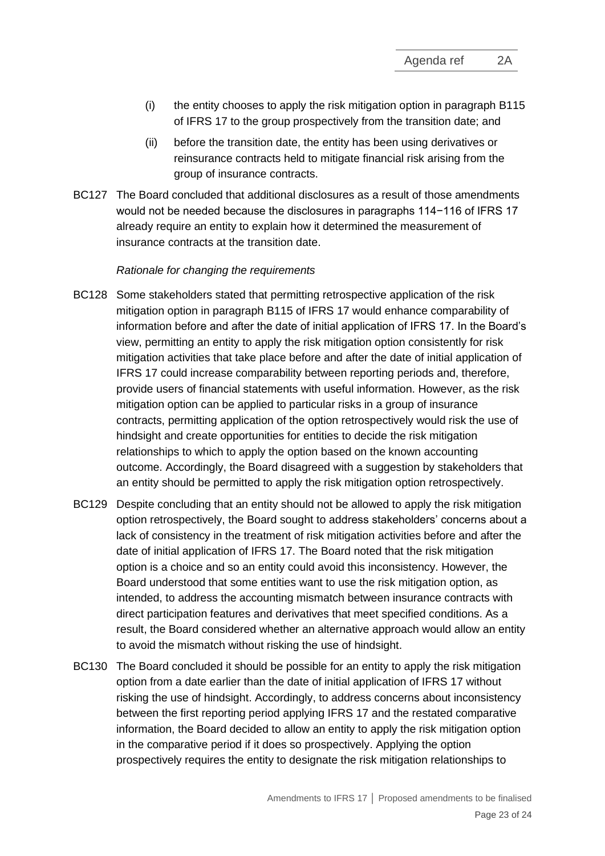- (i) the entity chooses to apply the risk mitigation option in paragraph B115 of IFRS 17 to the group prospectively from the transition date; and
- (ii) before the transition date, the entity has been using derivatives or reinsurance contracts held to mitigate financial risk arising from the group of insurance contracts.
- BC127 The Board concluded that additional disclosures as a result of those amendments would not be needed because the disclosures in paragraphs 114−116 of IFRS 17 already require an entity to explain how it determined the measurement of insurance contracts at the transition date.

#### *Rationale for changing the requirements*

- BC128 Some stakeholders stated that permitting retrospective application of the risk mitigation option in paragraph B115 of IFRS 17 would enhance comparability of information before and after the date of initial application of IFRS 17. In the Board's view, permitting an entity to apply the risk mitigation option consistently for risk mitigation activities that take place before and after the date of initial application of IFRS 17 could increase comparability between reporting periods and, therefore, provide users of financial statements with useful information. However, as the risk mitigation option can be applied to particular risks in a group of insurance contracts, permitting application of the option retrospectively would risk the use of hindsight and create opportunities for entities to decide the risk mitigation relationships to which to apply the option based on the known accounting outcome. Accordingly, the Board disagreed with a suggestion by stakeholders that an entity should be permitted to apply the risk mitigation option retrospectively.
- BC129 Despite concluding that an entity should not be allowed to apply the risk mitigation option retrospectively, the Board sought to address stakeholders' concerns about a lack of consistency in the treatment of risk mitigation activities before and after the date of initial application of IFRS 17. The Board noted that the risk mitigation option is a choice and so an entity could avoid this inconsistency. However, the Board understood that some entities want to use the risk mitigation option, as intended, to address the accounting mismatch between insurance contracts with direct participation features and derivatives that meet specified conditions. As a result, the Board considered whether an alternative approach would allow an entity to avoid the mismatch without risking the use of hindsight.
- BC130 The Board concluded it should be possible for an entity to apply the risk mitigation option from a date earlier than the date of initial application of IFRS 17 without risking the use of hindsight. Accordingly, to address concerns about inconsistency between the first reporting period applying IFRS 17 and the restated comparative information, the Board decided to allow an entity to apply the risk mitigation option in the comparative period if it does so prospectively. Applying the option prospectively requires the entity to designate the risk mitigation relationships to